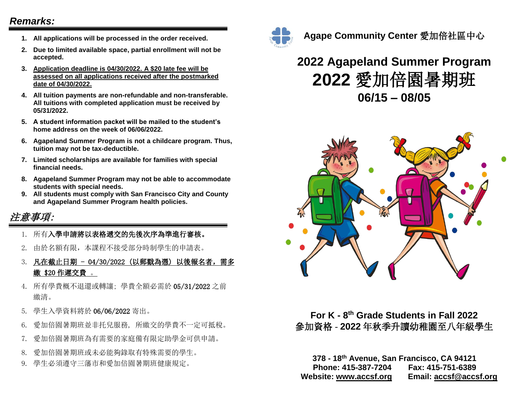### *Remarks:*

- **1. All applications will be processed in the order received.**
- **2. Due to limited available space, partial enrollment will not be accepted.**
- **3. Application deadline is 04/30/2022. A \$20 late fee will be assessed on all applications received after the postmarked date of 04/30/2022.**
- **4. All tuition payments are non-refundable and non-transferable. All tuitions with completed application must be received by 05/31/2022.**
- **5. A student information packet will be mailed to the student's home address on the week of 06/06/2022.**
- **6. Agapeland Summer Program is not a childcare program. Thus, tuition may not be tax-deductible.**
- **7. Limited scholarships are available for families with special financial needs.**
- **8. Agapeland Summer Program may not be able to accommodate students with special needs.**
- **9. All students must comply with San Francisco City and County and Agapeland Summer Program health policies.**

## 注意事項:

- 1. 所有入學申請將以表格遞交的先後次序為準進行審核。
- 2. 由於名額有限,本課程不接受部分時制學生的申請表。
- 3. 凡在截止日期 04/30/2022 (以郵戳為憑) 以後報名者,需多 繳 \$20 作遲交費 。
- 4. 所有學費概不退還或轉讓; 學費全額必需於 05/31/2022 之前 繳清。
- 5. 學生入學資料將於 06/06/2022 寄出。
- 6. 愛加倍園暑期班並非托兒服務, 所繳交的學費不一定可抵稅。
- 7. 愛加倍園暑期班為有需要的家庭備有限定助學金可供申請。
- 8. 愛加倍園暑期班或未必能夠錄取有特殊需要的學生。
- 9. 學生必須遵守三藩市和愛加倍園暑期班健康規定。



### **Agape Community Center** 愛加倍社區中心

# **2022 Agapeland Summer Program 2022** 愛加倍園暑期班 **06/15 – 08/05**



### **For K - 8 th Grade Students in Fall 2022** 參加資格 - **2022** 年秋季升讀幼稚園至八年級學生

**378 - 18th Avenue, San Francisco, CA 94121 Phone: 415-387-7204 Fax: 415-751-6389 Website: [www.accsf.org](http://www.accsf.org/) Email: accsf@accsf.org**